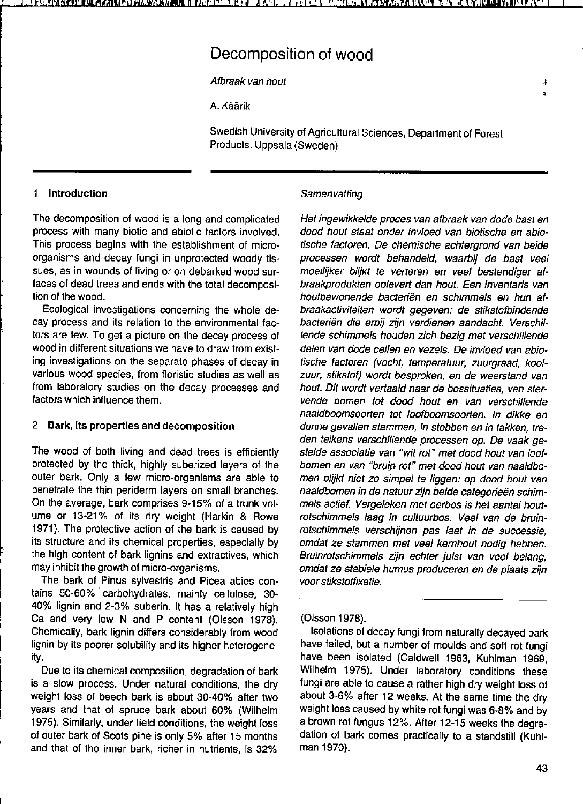# Decomposition of wood

Afbraak van hout , A. Käärik

Swedish University of Agricultural Sciences, Department of Forest Products, Uppsala (Sweden)

### 1 Introduction

The decomposition of wood is a long and complicated process with many biotic and abiotic lactors involved. This process begins with the establishment of microorganisms and decay fungi in unprotected woody tissues, as in wounds of living or on debarked wood surfaces of dead trees and ends with the total decomposition of the wood.

Ecological investigations concerning the whole decay process and its relation to the environmental factors are few. To get a picture on the decay process of wood in different situations we have to draw from existing investigations on the separate phases of decay in various wood species, from floristic studies as well as from laboratory studies on the decay processes and factors which influence them.

# 2 Bark, its properties and decomposition

The wood of both living and dead trees is efficiently protected by the thick, highly suberized layers of the outer bark. Only a few micro-organisms are able to penetrate the thin periderm layers on small branches. On the average, bark comprises 9-15% of a trunk volume or 13-21% of its dry weight (Harkin & Rowe 1971). The protective action of the bark is caused by its structure and its chemical properties, especially by the high content of bark lignins and extractives, which may inhibit the growth of micro-organisms.

The bark of Pinus sylvestris and Picea abies contains 50-60% carbohydrates, mainly cellulose, 30- 40% lignin and 2-3% suberin. It has a relatively high Ca and very low N and P content (Olsson 1978). Chemically, bark lignin differs considerably from wood lignin by its poorer solubility and its higher heterogeneity.

Due to its chemical composition, degradation of bark is a slow process. Under natural conditions, the dry weight 1055 of beech bark is about 30-40% after two years and that of spruce bark about 60% (Wilhelm 1975). Similarly, under field conditions, the weight loss of outer bark of Scots pine is only 5% after 15 months and that of the inner bark, richer in nutrients, is 32%

#### **Samenvatting**

Het ingewikkelde proces van afbraak van dode bast en dood hout staat onder invloed van biotische en abiotische factoren. De chemische achtergrand van beide processen wordt behandeld, waarbij de bast veel moeilijker blijkt te verteren en veel bestendiger afbraakpradukten oplevert dan hout. Een inventaris van houtbewonende bacteriën en schimmels en hun afbraakactiviteiten wordt gegeven: de stikstofbindende bacteriën die erbij zijn verdienen aandacht. Verschillende schimmels houden zich bezig met verschillende delen van dode cellen en vezels. De invloed van abiotische factoren (vocht, temperatuur, zuurgraad, koolzuur, stikstof) wordt besproken, en de weerstand van hout. Dit wordt vertaald naar de bossituaties, van stervende bomen tot dood hout en van verschillende naaldboomsoorten tot loofboomsoorten. In dikke en dunne gevallen stammen, in stobben en in takken, treden telkens verschillende pracessen op. De vaak gestelde associatie van "wit rot" met dood hout van loofbomen en van "bruin rot" met dood hout van naaldbomen blijkt niet zo simpel te liggen: op dood hout van naaldbomen in de natuur zijn beide categorieën schimmels actief. Vergeleken met oerbos is het aantal houtrotschimmels laag in cultuurbos. Veel van de bruinratschimmels verschijnen pas laat in de successie, omdat ze stammen met veel kernhout nodig hebben. Bruinrotschimmels zijn echter juist van veel belang, omdat ze stabiele humus produceren en de plaats zijn voor stikstoffixatie.

#### (Olsson 1978).

Isolations of decay fungi from naturally decayed bark have failed, but a number of moulds and soft rot fungi have been isolated (CaidweIl 1963, Kuhlman 1969, Wilhelm 1975). Under laboratory conditions these fungi are able to cause a rather high dry weight loss of about 3-6% after 12 weeks. At the same time the dry weight loss caused by white rot fungi was 6-8% and by a brown rot fungus 12%. After 12-15 weeks the degradation of bark comes practically to a standstill (Kuhlman 1970).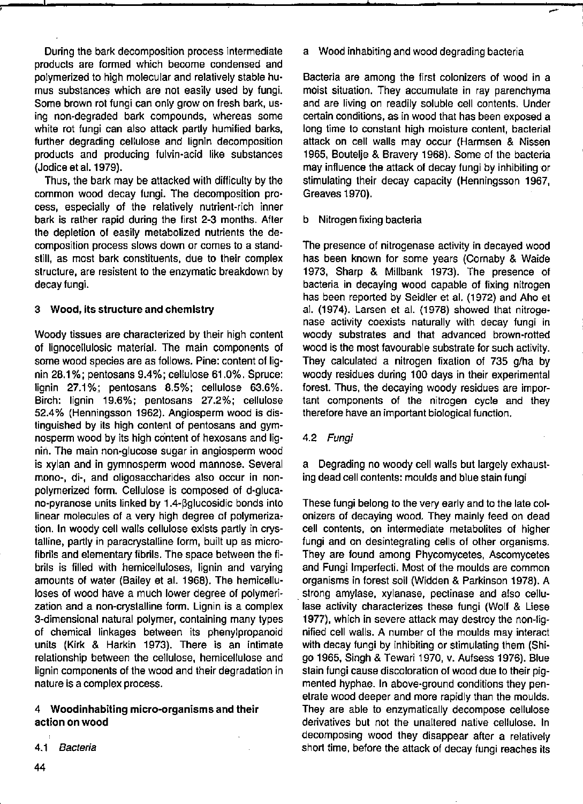During the bark decomposition process intermediate produets are formed which become condensed and polymerized to high molecular and relatively stabie humus substances which are not easily used by fungi. Some brown rot fungi can only grow on fresh bark, using non-degraded bark compounds, whereas some white rot fungi can also attack partly humified barks, turther degrading cellulose and lignin decomposition products and producing fulvin-acid like substances (Jodice et al. 1979).

Thus, the bark may be attacked with difficulty by the common wood decay fungi. The decomposition process, especially of the relatively nutrient-rich inner bark is rather rapid during the first 2-3 months. After the depletion of easily metabolized nutrients the decomposition process slows down or comes to a standstill, as most bark constituents, due to their complex structure, are resistent to the enzymatic breakdown by decay fungi.

#### 3 Wood, lts structure and chemlstry

Woody tissues are characterized by their high content of Iignocellulosic material. The main components of some wood species are as follows. Pine: content of lignin 28.1 %; pentosans 9.4%; cellulose 61.0%. Spruce: lignin 27.1%; pentosans 8.5%; cellulose 63.6%. Birch: Iignin 19.6%; pentosans 27.2%; cellulose 52.4% (Henningsson 1962). Angiosperm wood is distinguished by its high content of pentosans and gymnosperm wood by its high content of hexosans and Iignin. The main non-glucose sugar in angiosperm wood is xylan and in gymnosperm wood mannose. Several **mono-, di·, and oligosaccharides al50 occur in non**polymerized form. Cellulose is composed of d-glucano-pyranose units linked by 1.4-ßglucosidic bonds into linear molecules of a very high degree of polymerization. In woody cell walls cellulose exists partly in crystalline, partly in paracrystalline form, built up as microfibrils and elementary fibrils. The space between the fibrils is filled with hemicelluloses, lignin and varying amounts of water (Bailey et al. 1968). The hemicelluloses of wood have a much lower degree of polymerization and a non-crystalline form. Lignin is a complex 3-dimensional natural polymer, containing many types of chemical Iinkages between its phenylpropanoid units (Kirk & Harkin 1973). There is an intimate relationship between the cellulose, hemicellulose and Iignin components of the wood and their degradation in nature is a complex process.

#### 4 Woodinhabiting micro-organisms and Iheir action on wood

a Wood inhabiting and wood degrading bacteria

Bacteria are among the first colonizers of wood in a moist situation. They accumulate in ray parenchyma and are living on readily soluble cell contents. Under certain conditions, as in wood that has been exposed a long time to constant high moisture content, bacterial attack on cell walls may occur (Harmsen & Nissen 1965, Boutelje & Bravery 1968). Some of the bacteria may influence the attack of decay fungi by inhibiting or stimulating their decay capacity (Henningsson 1967, Greaves 1970).

b Nitrogen fixing bacteria

The presence of nitrogenase activity in decayed wood has been known for some years (Cornaby & Waide 1973, Sharp & Millbank 1973). The presence of bacteria in decaying wood capable of fixing nitrogen has been reported by Seidler et al. (1972) and Aho et al. (1974). Larsen et al. (1978) showed that nitrogenase activity coexists naturally with decay fungi in woody substrates and that advanced brown-rotted wood is the most favourable substrate for such activity. They calculated a nitrogen fixation of 735 g/ha by woody residues during 100 days in their experimental forest. Thus, the decaying woody residues are important components of the nitrogen cycle and they therefore have an important biological function.

4.2 Fungi

a Degrading no woody cell walls but largely exhausting dead cell contents: moulds and blue stain fungi

These fungi belong to the very early and to the late colonizers of decaying wood. They mainly feed on dead cell contents, on intermediate metabolites of higher fungi and on desintegrating cells of other organisms. They are found among Phycomycetes, Ascomycetes and Fungi Imperfecti. Most of the moulds are common organisms in forest soil (Widden & Parkinson 1978). A strong amylase, xylanase, pectinase and also cellulase activity characterizes these fungi (Wolf & Liese 1977), which in severe attack may destroy the non-lignified cell walls. A number of the moulds may interact with decay fungi by inhibiting or stimulating them (Shigo 1965, Singh & Tewari 1970, v. Aufsess 1976). Blue stain fungi cause discoloration of wood due to their pigmented hyphae. In above-ground conditions they penetrate wood deeper and more rapidly than the moulds. They are able to enzymatically decompose cellulose derivatives but not the unaltered native cellulose. In decomposing wood they disappear after a relatively short time, before the attack of decay fungi reaches its

<sup>4.1</sup> Bacteria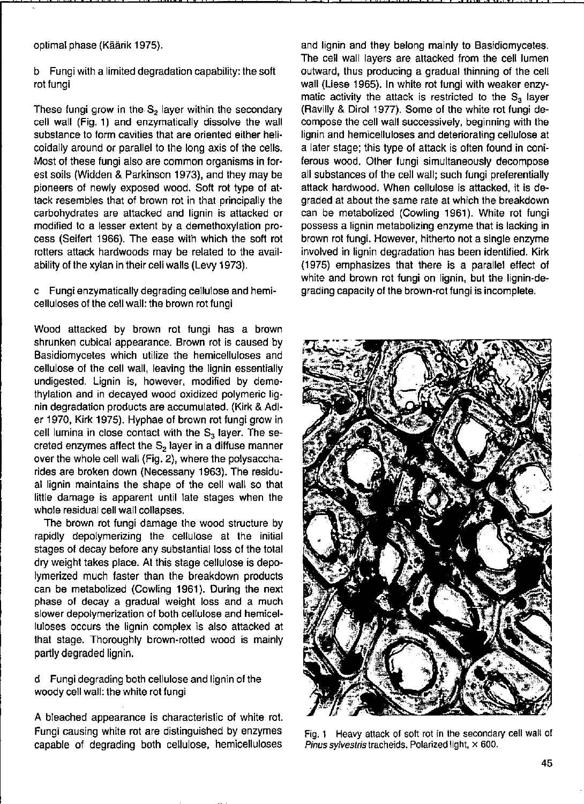optimal phase (Käärik 1975).

#### b Fungi with a limited degradation capability: the soft rot fungi

These fungi grow in the  $S_2$  layer within the secondary cell wall (Fig. 1) and enzymatically dissolve the wall substance to form cavities that are oriented either helicoidally around or parallel to the long axis of the cells. Most of these fungi also are common organisms in forest soils (Widden & Parkinson 1973), and they may be pioneers of newly exposed wood. Soft rot type of attack resembles that of brown rot in that principally the carbohydrates are attacked and lignin is attacked or modified to alesser extent by a demethoxylation process (Seifert 1966). The ease with which the soft rot rotters attack hardwoods may be related to the availability of the xylan in their cell walls (Levy 1973).

#### c Fungi enzymatically degrading cellulose and hemicelluloses of the cell wall: the brown rot fungi

Wood attacked by brown rot fungi has a brown shrunken cubical appearance. Brown rot is caused by Basidiomycetes which utilize the hemicelluloses and cellulose of the cell wall, leaving the Iignin essentially undigested. Lignin is, however, modified by demethylation and in decayed wood oxidized polymeric Iignin degradation products are accumulated. (Kirk & Adler 1970, Kirk 1975). Hyphae of brown rot fungi grow in cell lumina in close contact with the  $S_3$  layer. The secreted enzymes affect the  $S<sub>2</sub>$  layer in a diffuse manner over the whole cell wall (Fig. 2), where the polysaccharides are broken down (Necessany 1963). The residual lignin maintains the shape of the cell wall so that little damage is apparent until late stages when the whole residual cell wall collapses.

The brown rot fungi damage the wood structure by rapidly depolymerizing the cellulose at the initial stages of decay before any substantial loss of the total dry weight takes place. At this stage cellulose is depo-Iymerized much faster than the breakdown products can be metabolized (Cowling 1961). During the next phase of decay a gradual weight loss and a much slower depolymerization of bath cellulose and hemicelluloses occurs the lignin complex is also attacked at that stage. Thoroughly brown-rotted wood is mainly partly degraded lignin.

d Fungi degrading bath cellulose and lignin of the woody cell wall: the white rot fungi

A bleached appearance is characteristic of white rot. Fungi causing white rot are distinguished by enzymes capable of degrading bath cellulose, hemicelluloses and lignin and they belong mainly to Basidiomycetes. The cell wall layers are attacked from the cell lumen outward, thus producing a gradual thinning of the cell wall (Liese 1965). In white rot fungi with weaker enzymatic activity the attack is restricted to the  $S_3$  layer (Ravilly & Dirol 1977). Some of the white rot fungi decampase the cell wall successively, beginning with the lignin and hemicellulases and deteriorating cellulose at a later stage; this type of attack is often found in coniferous wood. Other fungi simultaneously decompose all substances of the cell wall; such fungi preferentially attack hardwood. When cellulose is attacked, it is degraded at about the same rate at which the breakdown can be metabolized (Cowling 1961). White rot fungi possess a lignin metabolizing enzyme that is lacking in brown rot fungi. However, hitherto not a single enzyme involved in lignin degradation has been identified. Kirk (1975) emphasizes that there is a parallel effect of white and brown rot fungi on lignin, but the lignin-degrading capacity of the brown-rot fungi is incomplete.



Fig. 1 Heavy attack of soft rot in the secondary cell wall of **Pinus sylvestris tracheids. Polarized light, x 600.**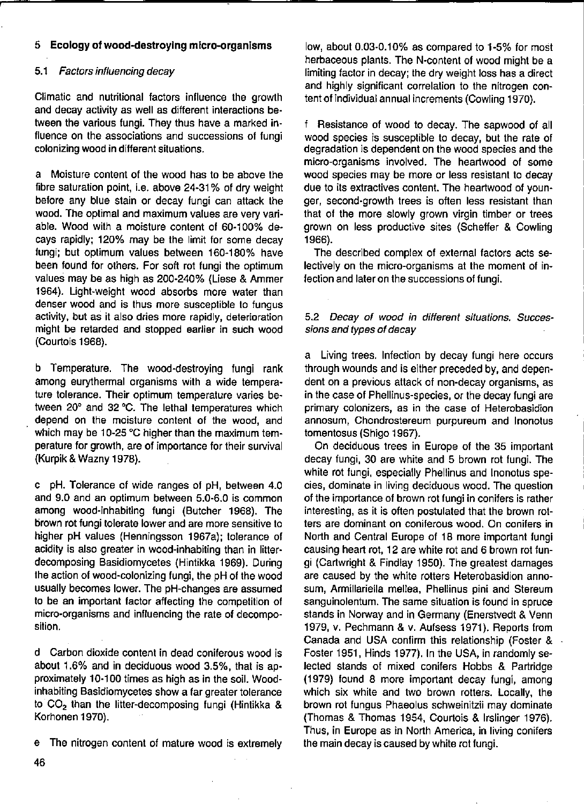## 5 **Ecology of wood-destroylng micro-organisms**

#### 5.1 Factors influencing decay

Climatic and nutritional factors influence the growth and decay activity as weil as different interactions be· tween the various fungi. They thus have a marked influence on the associations and successions of fungi colonizing wood in different situations.

a Moisture content of the wood has to be above the fibre saturation point, i.e. above 24-31% of dry weight before any blue stain or decay fungi can attack the wood. The optimal and maximum values are very vari· able. Wood with a moisture content of 60-100% decays rapidly; 120% may be the limit for some decay fungi; but optimum values between 160-180% have been found for others. For soft rot fungi the optimum values may be as high as 200-240% (Liese & Ammer 1964). Light-weight wood absorbs more water than denser wood and is thus more susceptible to fungus activity, but as it also dries more rapidly, deterioration might be retarded and stopped earlier in such wood (Courtais 1968).

b Temperature. The wood-destroying fungi rank among eurythermal organisms with a wide temperature tolerance. Their optimum temperature varies between 20° and 32°C. The lethal temperatures which depend on the moisture content of the wood, and which may be 10-25 °C higher than the maximum temperature for growth, are of importance for their survival (Kurpik & Wazny 1978).

c pH. Tolerance of wide ranges of pH, between 4.0 and 9.0 and an optimum between 5.0-6.0 is common among wood-inhabiting fungi (Butcher 1968). The brown rot fungi tolerate lower and are more sensitive to higher pH values (Henningsson 1967a); tolerance of acidity is also greater in wood-inhabiting than in litterdecomposing Basidiomycetes (Hintikka 1969). During the action of wood-colonizing fungi, the pH of the wood usually becomes lower. The pH-changes are assumed to be an important factor affecting the competition of micro-organisms and influencing the rate of decomposition.

d Carbon dioxide content in dead coniferous wood is about 1.6% and in deciduous wood 3.5%, that is approximately 10-100 times as high as in the soil. Woodinhabiting Basidiomycetes show a far greater toleranee to CO<sub>2</sub> than the litter-decomposing fungi (Hintikka & Korhanen 1970).

e The nitrogen content of mature wood is extremely

low, about 0.03-0.10% as compared to 1-5% for most herbaceous plants. The N-content of wood might be a limiting factor in decay; the dry weight loss has a direct and highly significant correlation to the nitrogen content of individual annual increments (Cowling 1970).

f Resistance of wood to decay. The sapwood of all wood species is susceptible to decay, but the rate of degradation is dependent on the wood species and the micro-organisms involved. The heartwood of some wood species may be more or less resistant to decay due to its extractives content. The heartwood of younger, second-growth trees is often less resistant than that of the more slowly grown virgin timber or trees grown on less productive sites (Scheffer & Cowling 1966).

The described complex of external factors acts selectively on the micro-organisms at the moment of infection and later on the successions of fungi.

#### 5.2 Decay of wood in different situations. Successions and types of decay

a Living trees. Infection by decay fungi here occurs through wounds and is either preceded by, and dependent on a previous attack of non-decay organisms, as in the case of Phellinus-species, or the decay fungi are **primary colonizers, as in the case of Heterobasidion**  annosum, Chondrostereum purpureum and Inonatus tomentosus (Shigo 1967).

On deciduous trees in Europe of the 35 important decay fungi, 30 are white and 5 brown rot fungi. The white rot fungi, especially Phellinus and Inonotus species, dominate in living deciduous wood. The question of the importanee of brown rot fungi in conifers is rather interesting, as it is often postulated that the brown rot**ters are dominant on coniferous wood. On conifers in**  North and Central Europe of 18 more important fungi causing heart rot, 12 are white rot and 6 brown rot fungi (Cartwright & Findlay 1950). The greatest damages are caused by the white rotters Heterobasidion annosum, Armillariella mellea, Phellinus pini and Stereum sanguinolentum. The same situation is found in spruce stands in Norway and in Germany (Enerstvedt & Venn 1979, V. Pechmann & V. Aufsess 1971). Reports from Canada and USA confirm this relationship (Foster & Foster 1951, Hinds 1977). In the USA, in randomly selected stands of mixed conifers Hobbs & Partridge (1979) found 8 more important decay fungi, among which six white and two brown rotters. Locally, the brown rot fungus Phaeolus schweinitzii may dominate (Thomas & Thomas 1954, Courtois & Irslinger 1976). Thus, in Europe as in North America, in living conifers the main decay is caused by white rot fungi.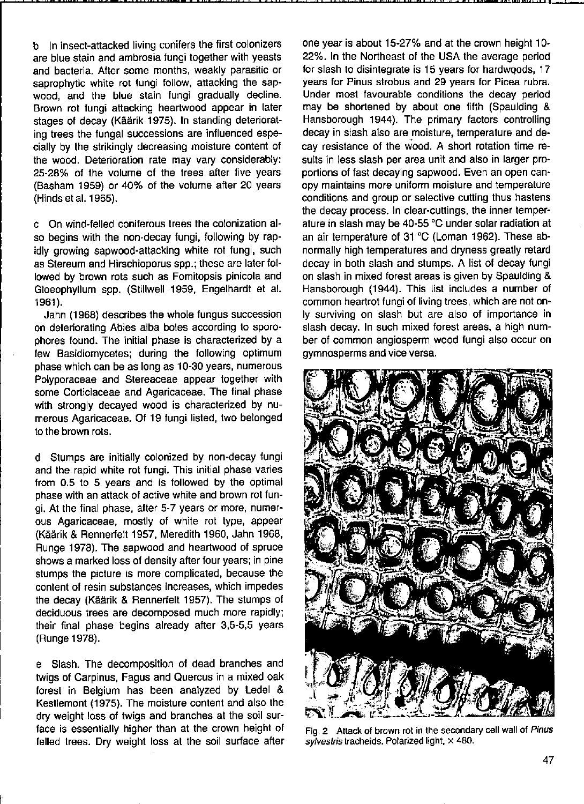b In insect-attacked living conifers the first colonizers are blue stain and ambrosia fungi together with yeasts and bacteria. After some months, weakly parasitic or saprophytic white rot fungi follow, attacking the sapwood, and the blue stain fungi gradually decline. Brown rot fungi attacking heartwood appear in later stages of decay (Käärik 1975). In standing deteriorating trees the fungal successions are influenced especially by the strikingly decreasing moisture content of the wood. Deterioration rate may vary considerably: 25-28% of the volume of the trees after five years (Basham 1959) or 40% of the volume after 20 years (Hinds et al. 1965).

c On wind-felled coniferous trees the colonization also begins with the non-decay fungi, following by rapidly growing sapwood-attacking white rot fungi, such as Stereum and Hirschioporus spp.; these are later followed by brown rots such as Fomitopsis pinicola and Gloeophyllum spp. (StilIweIl 1959, Engelhardt et al. 1961).

Jahn (1968) describes the whole fungus succession on deteriorating Abies alba boles according 10 sporophores found. The initial phase is characterized by a few Basidiomycetes; during the following optimum phase which can be as long as 10-30 years, numerous Polyporaceae and Stereaceae appear together with some Corticiaceae and Agaricaceae. The final phase with strongly decayed wood is characterized by numerous Agaricaceae. Of 19 fungi listed, two belonged to the brown rots.

d Stumps are initially colonized by non-decay fungi and the rapid white rot fungi. This initial phase varies from 0.5 to 5 years and is followed by the optimal phase with an attack of active white and brown rot fungi. At the final phase, after 5-7 years or more, numerous Agaricaceae, mostly of white rot type, appear (Käärik & Rennerfelt 1957, Meredith 1960, Jahn 1968, Runge 1978). The sapwood and hearfwood of spruce shows a marked loss of density after four years; in pine stumps the picture is more complicated, because the content of resin substances increases, which impedes the decay (Käärik & Rennerfelt 1957). The stumps of deciduous trees are decomposed much more rapidly; their final phase begins already after 3,5-5,5 years (Runge 1978).

e Slash. The decomposition of dead branches and twigs of Carpinus, Fagus and Quercus in a mixed oak forest in Belgium has been analyzed by ledel & Kesllemont (1975). The moisture content and also the dry weight loss of twigs and branches at the soil surface is essentially higher than at the crown height of felled trees. Dry weight loss at the soil surface after one year is about 15-27% and at the crown height 10- 22%. In the Northeast of the USA the average period for slash to disintegrate is 15 years for hardwoods, 17 years for Pinus strobus and 29 years for Picea rubra. Under most favourable conditions the decay period may be shortened by abaut one fifth (Spaulding & Hansborough 1944). The primary factors controlling decay in slash also are moisture, temperature and decay resistance of the wood. A short rotation time re· sults in less slash per area unit and also in larger pro· portions of fast decaying sapwood. Even an open can**opy maintains more uniform moisture and temperature**  conditions and group or selective cutting thus hastens the decay process. In clear·cuttings, the inner temper· ature in slash may be 40-55 °C under solar radiation at an air temperature of 31 °C (loman 1962). These ab· normally high temperatures and dryness greatly retard decay in both slash and stumps. A list of decay fungi on slash in mixed forest areas is given by Spaulding & Hansborough (1944). This list includes a number of common heartrot fungi of living trees, which are not on· Iy surviving on slash but are also of importanee in slash decay. In such mixed forest areas, a high num· ber of common angiosperm wood lungi also occur on gymnosperms and vice versa.



**Fig. 2 Attack of brown rot in the secondary cell wall of Pinu5 sylvestris tracheids. Polarized light, x 480.**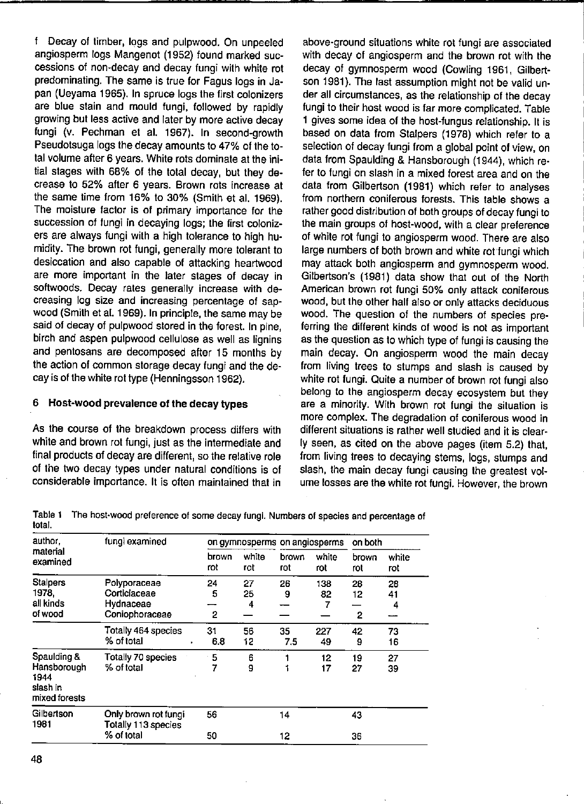f Decay of timber, logs and pulpwood. On unpeeled angiosperm logs Mangenot (1952) found marked successions of non-decay and decay fungi with white rot predominating. The same is true for Fagus logs in Japan (Ueyama 1965). In spruce logs the first colonizers are blue stain and mould fungi, followed by rapidly growing but less active and later by more active decay fungi (v. Pechman et al. 1967). In second-growth Pseudotsuga logs the decay amounts to 47% of the total volume after 6 years. White rots dominate at the initial stages with 68% of the total decay, but they decrease to 52% after 6 years. Brown rots increase at the same time from 16% to 30% (Smith et al. 1969). The moisture factor is of primary importanee for the succession of fungi in decaying logs; the first colonizers are always fungi with a high toleranee to high humidity. The brown rot fungi, generally more tolerant to desiccation and also capable of attacking heartwood are more important in the later stages of decay in softwoods. Decay rates generally increase with decreasing log size and increasing percentage of sapwood (Smilh et al. 1969). In principle, the same may be said of decay of pulpwood stored in the forest. In pine, birch and aspen pulpwood cellulose as weil as lignins and pentosans are decomposed after 15 months by the action of comman storage decay fungi and the decay is of the white rot type (Henningsson 1962).

### 6 Host-wood prevalenee of the decay types

As the course of the breakdown process differs with white and brown rot fungi, just as the intermediate and final products of decay are different, so the relative role of the two decay types under natural conditions is of considerable importanee. It is aften maintained that in

above-ground situations white rot fungi are associated with decay of angiosperm and the brown rot with the decay of gymnosperm wood (Cowling 1961, Gilbertson 1981). The last assumption might not be valid under all circumstances, as the relationship of the decay fungi to their host wood is far more complicated. Table 1 gives some idea of the host-fungus relationship. It is based on data from Stalpers (1978) which refer to a selection of decay fungi from a global point of view, on data from Spaulding & Hansborough (1944), which refer to fungi on slash in a mixed forest area and on the data from Gilbertson (1981) which refer to analyses from northern coniferous forests. This table shows a rather good distribution of both groups of decay fungi to the main groups of host-wood, with a clear preference of white rot fungi to angiosperm wood. There are also large numbers of bath brown and white rot'fungi which may attack bath angiosperm and gymnosperm wood. Gilbertson's (1981) data show that out of the North **American brown rot fungi 50% only aftack coniferous**  wood, but the other half also or only attacks deciduous wood. The question of the numbers of species preferring the different kinds of wood is not as important as the question as to which type of fungi is causing the main decay. On angiosperm wood the main decay from living trees to stumps and slash is caused by white rot fungi. Quite a number of brown rot fungi also belong to the angiosperm decay ecosystem but they are a minority. With brown rot fungi the situation is more complex. The degradation of coniferous wood in different situations is rather weil studied and it is clear-Iy seen, as cited on the above pages (item 5.2) that, from living trees to decaying stems, logs, stumps and slash, the main decay fungi causing the greatest volume losses are the white rot fungi. However, the brown

Table 1 **The host·wood preference of some decay fungi. Numbers of species and percentage of**  total.

| author.<br>fungi examined<br>material<br>examined                                                                                                    | on gymnosperms on angiosperms |               |              |              | on both       |                      |
|------------------------------------------------------------------------------------------------------------------------------------------------------|-------------------------------|---------------|--------------|--------------|---------------|----------------------|
|                                                                                                                                                      | brown<br>rot                  | white<br>rot  | brown<br>rot | white<br>rot | brown<br>rot  | white<br>rot         |
| <b>Stalpers</b><br>Polyporaceae<br>1978.<br>Corticiaceae<br>all kinds<br>Hydnaceae<br>of wood<br>Coniophoraceae<br>Totally 464 species<br>% of total | 24<br>5<br>2                  | 27<br>25<br>4 | 26<br>9      | 138<br>82    | 28<br>12<br>2 | 28<br>41<br>4<br>--- |
|                                                                                                                                                      | 31<br>6.8                     | 56<br>12      | 35<br>7.5    | 227<br>49    | 42<br>9       | 73<br>16             |
| Totally 70 species<br>% of total                                                                                                                     | 5<br>7                        | 6<br>9        |              | 12<br>17     | 19<br>27      | 27<br>39             |
| Only brown rot fungi<br>Totally 113 species                                                                                                          | 56                            |               | 14           |              | 43            |                      |
| % of total                                                                                                                                           |                               | 50            |              | 12           |               | 36                   |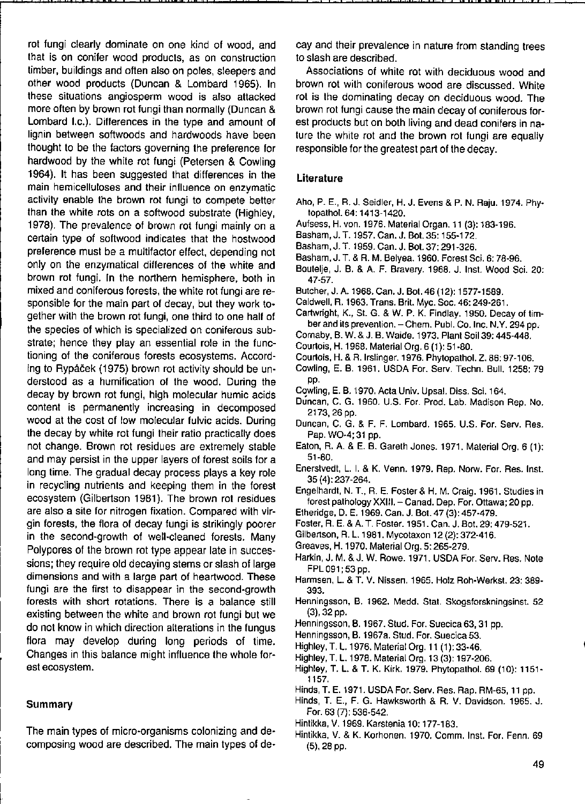rot fungi clearly dominate on one kind of wood, and that is on conifer wood products, as on construction timber, buildings and often also on poles, sleepers and other wood products (Duncan & Lombard 1965). In **these situations angiosperm wood is also attacked**  more often by brown rot fungi than normally (Duncan & Lombard I.c.). Differences in the type and amount of lignin between soltwoods and hardwoods have been thought to be the factors governing the preference for hardwood by the white rot fungi (Petersen & Cowling 1964). It has been suggested that differences in the **main hemicellulases and their influence on enzymatic**  activity enable the brown rot fungi to compete better than the white rots on a softwood substrate (Highley, 1978). The prevalence of brown rot fungi mainly on a certain type of softwood indicates that the hostwood preference must be a multifactor effect, depending not only on the enzymatical differences of the white and brown rot fungi. In the northern hemisphere, both in mixed and coniferous forests, the white rot fungi are responsible for the main part of decay, but they work together with the brown rot fungi, one third to one half of the species of which is specialized on coniferous substrate; hence they play an essential role in the functioning of the coniferous forests ecosystems. According to Rypáëek (1975) brown rot activity should be understood as a humification of the wood. During the decay by brown rot fungi, high molecular humic acids content is permanently increasing in decomposed wood at the cost of low molecular fulvic acids. During the decay by white rot fungi their ratio practically does not change. Brown rot residues are extremely stabie and may persist in the upper layers of forest soils for a long time. The gradual decay process plays a key role in recycling nutrients and keeping them in the forest ecosystem (Gilbertson 1981). The brown rot residues are also a site for nitrogen fixation. Compared with virgin forests, the flora of decay fungi is strikingly poorer in the second-growth of well-cleaned forests. Many Polypores of the brown rot type appear late in successions; they require old decaying stems or slash of large dimensions and with a large part of heartwood. These fungi are the first to disappear in the second-growth forests with short rotations. There is a balance still existing between the white and brown rot fungi but we do not know in which direction alterations in the fungus flora may develop during long periods of time. Changes in this balance might influence the whole forest ecosystem.

I " I " • I •• **p .** •• I •• '" P **• n** .. **.** 

#### Summary

The main types of micro-organisms colonizing and decomposing wood are described. The main types of decay and their prevalence in nature from standing trees to slash are described.

• g " **•• , ., ,,"'r"'"" , ,** 

Associations of white rot with deciduous wood and brown rot with coniferous wood are discussed. White rot is the dominating decay on deciduous wood. The brown rot fungi cause the main decay of coniferous forest products but on both living and dead conifers in nature the white rot and the brown rot fungi are equally responsible for the greatest part of the decay.

#### **Literature**

- Aha, P. E., R. J. Seidler, H. J. Evens & P. N. Raju. 1974. Phytopathol. 64: 1413-1420.
- Aufsess, H. van. 1976. Material Organ. 11 (3): 183-196.
- Basham, J. T. 1957. Can. J. Bot. 35: 155-172.
- Basham, J. T. 1959. Can. J. Bot. 37: 291-326.
- Basham, J. T. & R. M. Belyea. 1960. Forest Sci. 6: 78-96.
- Boutelje, J. B. & A. F. Bravery. 1968. J. Inst. Wood Sci. 20: 47-57.
- Butcher, J. A. 1968. Can. J. Bot. 46 (12): 1577-1589.
- CaidweIl, R. 1963. Trans. Brit. Myc. Soc. 46: 249-261.
- Cartwright, K., St. G. & W. P. K. Findlay. 1950. Decay of tim**ber and ilS prevention. - Chem. Publ. Co. Inc. N.V. 294 pp.**
- Comaby, B. W. & J. B. Waide. 1973. Plant Soi139: 445-448.
- Courtais, H. 1968. Material Org. 6 (1): 51-80.
- Courtais. H. & A.lrslinger. 1976. Phytopathol. Z. 86: 97-106.
- Cowling, E. B. 1961. USDA For. Serv. Techn. Bull. 1258: 79 pp.
- Cowling, E. B. 1970. Acta Univ. Upsal. Diss. Sci. 164.
- **Duncan, C. G. 1960. U.S. For. Prod. Lab. Madison Rep. No.**  2173,26 pp.
- **Duncan, C. G. & F. F. Lombard. 1965. U.S. For. Serv. Res.**  Pap. WO-4; 31 pp.
- Eaton, R. A. & E. B. Gareth Jones. 1971. Material Org. 6 (1): 51-80.
- **Enerstvedt, L. I. & K. Venn. 1979. Rep. Norw. For. Res. Inst.**  35 (4): 237-264.
- Engelhardt, N. T., A. E. Foster & H. M. Craig. 1961. Studies in **forest palhology XXIII. - Canad. Dep. Far. Ottawa; 20 pp.**
- Etheridge, D. E. 1969. Can. J. Bot. 47 (3): 457-479.
- Foster. R. E. & A. T. Foster. 1951. Can. J. Bot. 29: 479-521.
- Gilbertson, R. L. 1981. Mycotaxon 12 (2): 372-416.
- Greaves, H. 1970. Material Org. 5: 265-279.
- Harkin, J. M. & J. W. Rowe. 1971. USDA For. Serv. Res. Note FPL 091; 53 pp.
- **Harmsen, L. & T. V. Nissen. 1965. Holz Roh·Werkst. 23: 389-** 393.
- **Henningsson, B. 1962. Medd. Stat. Skogsfarskningsinst. 52**  (3),32 pp.
- Henningsson, B. 1967. Stud. For. Suecica 63, 31 pp.
- **Henningsson, B. 1967a. Stud. For. Suecica 53.**
- Highley, T. L. 1976. Material Org. 11 (1): 33-46.
- Highley, T. L.1978. Material Org.13 (3): 197-206.
- Highley, T. L. & T. K. Kirk. 1979. Phytopathol. 69 (10): 1151- 1157.
- Hinds, T. E. 1971. USDA For. Serv. Res. Rap. RM-65, 11 pp.
- **Hinds, T. E., F. G. Hawksworth & R. V. Davidson. 1965. J.**  For. 63 (7): 536-542.
- Hintikka, V. 1969. Karstenia 10: 177-183.
- Hintikka, V. & K. Korhonen. 1970. Comm. Inst. For. Fenn. 69 (5),28 pp.